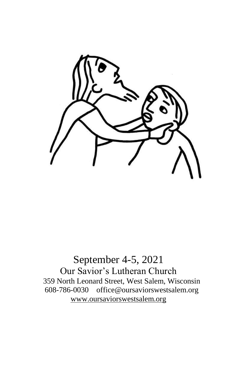

September 4-5, 2021 Our Savior's Lutheran Church 359 North Leonard Street, West Salem, Wisconsin 608-786-0030 office@oursaviorswestsalem.org [www.oursaviorswestsalem.org](http://www.oursaviorswestsalem.org/)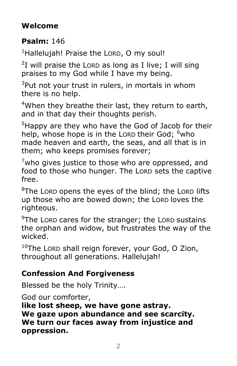# **Welcome**

# **Psalm:** 146

 $<sup>1</sup>$ Hallelujah! Praise the LORD, O my soul!</sup>

 $2I$  will praise the LORD as long as I live; I will sing praises to my God while I have my being.

 $3$ Put not your trust in rulers, in mortals in whom there is no help.

<sup>4</sup>When they breathe their last, they return to earth, and in that day their thoughts perish.

<sup>5</sup>Happy are they who have the God of Jacob for their help, whose hope is in the Lorp their God; <sup>6</sup>who made heaven and earth, the seas, and all that is in them; who keeps promises forever;

 $7$ who gives justice to those who are oppressed, and food to those who hunger. The LORD sets the captive free.

 $8$ The LORD opens the eyes of the blind; the LORD lifts up those who are bowed down; the LORD loves the righteous.

 $9$ The LORD cares for the stranger; the LORD sustains the orphan and widow, but frustrates the way of the wicked.

 $10$ The Lorp shall reign forever, your God, O Zion, throughout all generations. Hallelujah!

# **Confession And Forgiveness**

Blessed be the holy Trinity….

God our comforter,

**like lost sheep, we have gone astray. We gaze upon abundance and see scarcity. We turn our faces away from injustice and oppression.**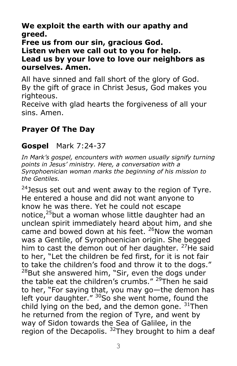**We exploit the earth with our apathy and greed.**

#### **Free us from our sin, gracious God. Listen when we call out to you for help. Lead us by your love to love our neighbors as ourselves. Amen.**

All have sinned and fall short of the glory of God. By the gift of grace in Christ Jesus, God makes you righteous.

Receive with glad hearts the forgiveness of all your sins. Amen.

# **Prayer Of The Day**

### **Gospel** Mark 7:24-37

In Mark's gospel, encounters with women usually signify turning *points in Jesus' ministry. Here, a conversation with a Syrophoenician woman marks the beginning of his mission to the Gentiles.*

 $24$  Jesus set out and went away to the region of Tyre. He entered a house and did not want anyone to know he was there. Yet he could not escape notice,<sup>25</sup>but a woman whose little daughter had an unclean spirit immediately heard about him, and she came and bowed down at his feet.  $26$ Now the woman was a Gentile, of Syrophoenician origin. She begged him to cast the demon out of her daughter. <sup>27</sup>He said to her, "Let the children be fed first, for it is not fair to take the children's food and throw it to the dogs."  $^{28}$ But she answered him, "Sir, even the dogs under the table eat the children's crumbs."  $^{29}$ Then he said to her, "For saying that, you may go—the demon has left your daughter."  $30$ So she went home, found the child lying on the bed, and the demon gone.  $31$ Then he returned from the region of Tyre, and went by way of Sidon towards the Sea of Galilee, in the region of the Decapolis.  $32$ They brought to him a deaf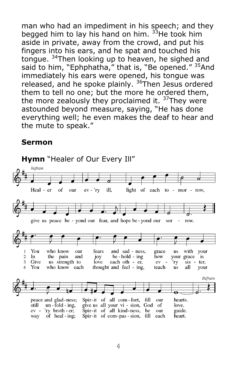man who had an impediment in his speech; and they begged him to lay his hand on him. <sup>33</sup>He took him aside in private, away from the crowd, and put his fingers into his ears, and he spat and touched his tongue. <sup>34</sup>Then looking up to heaven, he sighed and said to him, "Ephphatha," that is, "Be opened." <sup>35</sup>And immediately his ears were opened, his tongue was released, and he spoke plainly. <sup>36</sup>Then Jesus ordered them to tell no one; but the more he ordered them, the more zealously they proclaimed it.  $37$ They were astounded beyond measure, saying, "He has done everything well; he even makes the deaf to hear and the mute to speak."

#### **Sermon**

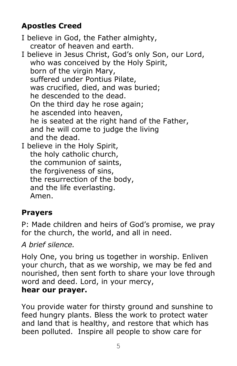# **Apostles Creed**

I believe in God, the Father almighty, creator of heaven and earth. I believe in Jesus Christ, God's only Son, our Lord, who was conceived by the Holy Spirit, born of the virgin Mary, suffered under Pontius Pilate, was crucified, died, and was buried; he descended to the dead. On the third day he rose again; he ascended into heaven, he is seated at the right hand of the Father, and he will come to judge the living and the dead. I believe in the Holy Spirit, the holy catholic church, the communion of saints, the forgiveness of sins, the resurrection of the body, and the life everlasting. Amen.

# **Prayers**

P: Made children and heirs of God's promise, we pray for the church, the world, and all in need.

*A brief silence.*

Holy One, you bring us together in worship. Enliven your church, that as we worship, we may be fed and nourished, then sent forth to share your love through word and deed. Lord, in your mercy, **hear our prayer.**

You provide water for thirsty ground and sunshine to feed hungry plants. Bless the work to protect water and land that is healthy, and restore that which has been polluted. Inspire all people to show care for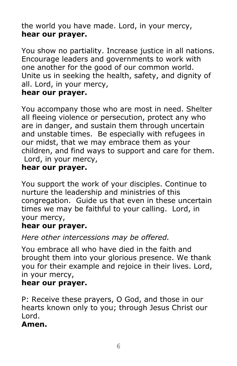the world you have made. Lord, in your mercy, **hear our prayer.**

You show no partiality. Increase justice in all nations. Encourage leaders and governments to work with one another for the good of our common world. Unite us in seeking the health, safety, and dignity of all. Lord, in your mercy,

#### **hear our prayer.**

You accompany those who are most in need. Shelter all fleeing violence or persecution, protect any who are in danger, and sustain them through uncertain and unstable times. Be especially with refugees in our midst, that we may embrace them as your children, and find ways to support and care for them. Lord, in your mercy,

### **hear our prayer.**

You support the work of your disciples. Continue to nurture the leadership and ministries of this congregation. Guide us that even in these uncertain times we may be faithful to your calling. Lord, in your mercy,

#### **hear our prayer.**

*Here other intercessions may be offered.*

You embrace all who have died in the faith and brought them into your glorious presence. We thank you for their example and rejoice in their lives. Lord, in your mercy,

#### **hear our prayer.**

P: Receive these prayers, O God, and those in our hearts known only to you; through Jesus Christ our Lord.

#### **Amen.**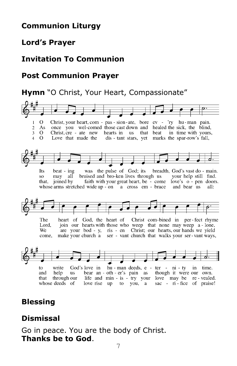## **Communion Liturgy**

### **Lord's Prayer**

## **Invitation To Communion**

## **Post Communion Prayer**

#### **Hymn** "O Christ, Your Heart, Compassionate"



## **Blessing**

# **Dismissal**

Go in peace. You are the body of Christ. **Thanks be to God**.